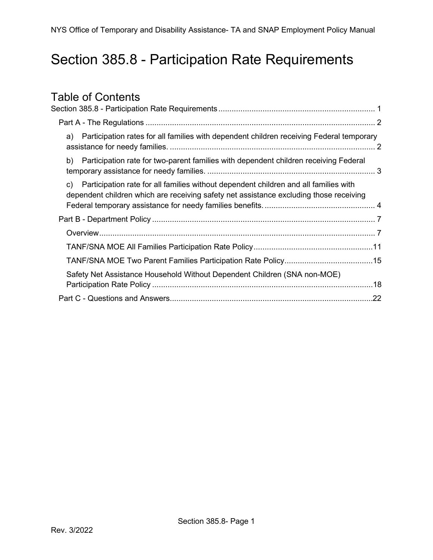## <span id="page-0-0"></span>Section 385.8 - Participation Rate Requirements

# Table of Contents<br>Section 385.8 - Participation

| Section 385.8 - Participation Rate Requirements……………………………………………………………………………………1                                                                                                     |  |
|--------------------------------------------------------------------------------------------------------------------------------------------------------------------------------------|--|
|                                                                                                                                                                                      |  |
| Participation rates for all families with dependent children receiving Federal temporary<br>a)                                                                                       |  |
| Participation rate for two-parent families with dependent children receiving Federal<br>b)                                                                                           |  |
| Participation rate for all families without dependent children and all families with<br>C)<br>dependent children which are receiving safety net assistance excluding those receiving |  |
|                                                                                                                                                                                      |  |
|                                                                                                                                                                                      |  |
| TANF/SNA MOE All Families Participation Rate Policy……………………………………………11                                                                                                               |  |
|                                                                                                                                                                                      |  |
| Safety Net Assistance Household Without Dependent Children (SNA non-MOE)                                                                                                             |  |
|                                                                                                                                                                                      |  |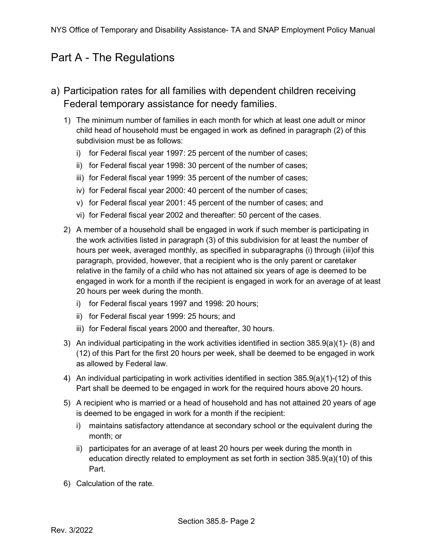## <span id="page-1-0"></span>Part A - The Regulations

- <span id="page-1-1"></span>a) Participation rates for all families with dependent children receiving Federal temporary assistance for needy families.
	- 1) The minimum number of families in each month for which at least one adult or minor child head of household must be engaged in work as defined in paragraph (2) of this subdivision must be as follows:
		- i) for Federal fiscal year 1997: 25 percent of the number of cases;
		- ii) for Federal fiscal year 1998: 30 percent of the number of cases;
		- iii) for Federal fiscal year 1999: 35 percent of the number of cases;
		- iv) for Federal fiscal year 2000: 40 percent of the number of cases;
		- v) for Federal fiscal year 2001: 45 percent of the number of cases; and
		- vi) for Federal fiscal year 2002 and thereafter: 50 percent of the cases.
	- 2) A member of a household shall be engaged in work if such member is participating in the work activities listed in paragraph (3) of this subdivision for at least the number of hours per week, averaged monthly, as specified in subparagraphs (i) through (iii)of this paragraph, provided, however, that a recipient who is the only parent or caretaker relative in the family of a child who has not attained six years of age is deemed to be engaged in work for a month if the recipient is engaged in work for an average of at least 20 hours per week during the month.
		- i) for Federal fiscal years 1997 and 1998: 20 hours;
		- ii) for Federal fiscal year 1999: 25 hours; and
		- iii) for Federal fiscal years 2000 and thereafter, 30 hours.
	- 3) An individual participating in the work activities identified in section 385.9(a)(1)- (8) and (12) of this Part for the first 20 hours per week, shall be deemed to be engaged in work as allowed by Federal law.
	- 4) An individual participating in work activities identified in section 385.9(a)(1)-(12) of this Part shall be deemed to be engaged in work for the required hours above 20 hours.
	- 5) A recipient who is married or a head of household and has not attained 20 years of age is deemed to be engaged in work for a month if the recipient:
		- i) maintains satisfactory attendance at secondary school or the equivalent during the month; or
		- ii) participates for an average of at least 20 hours per week during the month in education directly related to employment as set forth in section 385.9(a)(10) of this Part.
	- 6) Calculation of the rate.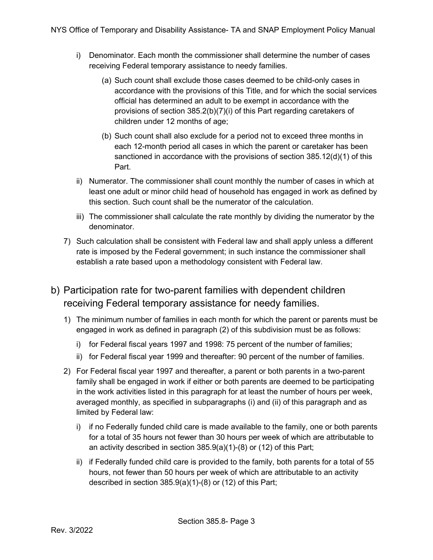- i) Denominator. Each month the commissioner shall determine the number of cases receiving Federal temporary assistance to needy families.
	- (a) Such count shall exclude those cases deemed to be child-only cases in accordance with the provisions of this Title, and for which the social services official has determined an adult to be exempt in accordance with the provisions of section 385.2(b)(7)(i) of this Part regarding caretakers of children under 12 months of age;
	- (b) Such count shall also exclude for a period not to exceed three months in each 12-month period all cases in which the parent or caretaker has been sanctioned in accordance with the provisions of section 385.12(d)(1) of this Part.
- ii) Numerator. The commissioner shall count monthly the number of cases in which at least one adult or minor child head of household has engaged in work as defined by this section. Such count shall be the numerator of the calculation.
- iii) The commissioner shall calculate the rate monthly by dividing the numerator by the denominator.
- 7) Such calculation shall be consistent with Federal law and shall apply unless a different rate is imposed by the Federal government; in such instance the commissioner shall establish a rate based upon a methodology consistent with Federal law.
- <span id="page-2-0"></span>b) Participation rate for two-parent families with dependent children receiving Federal temporary assistance for needy families.
	- 1) The minimum number of families in each month for which the parent or parents must be engaged in work as defined in paragraph (2) of this subdivision must be as follows:
		- i) for Federal fiscal years 1997 and 1998: 75 percent of the number of families;
		- ii) for Federal fiscal year 1999 and thereafter: 90 percent of the number of families.
	- 2) For Federal fiscal year 1997 and thereafter, a parent or both parents in a two-parent family shall be engaged in work if either or both parents are deemed to be participating in the work activities listed in this paragraph for at least the number of hours per week, averaged monthly, as specified in subparagraphs (i) and (ii) of this paragraph and as limited by Federal law:
		- i) if no Federally funded child care is made available to the family, one or both parents for a total of 35 hours not fewer than 30 hours per week of which are attributable to an activity described in section 385.9(a)(1)-(8) or (12) of this Part;
		- ii) if Federally funded child care is provided to the family, both parents for a total of 55 hours, not fewer than 50 hours per week of which are attributable to an activity described in section 385.9(a)(1)-(8) or (12) of this Part;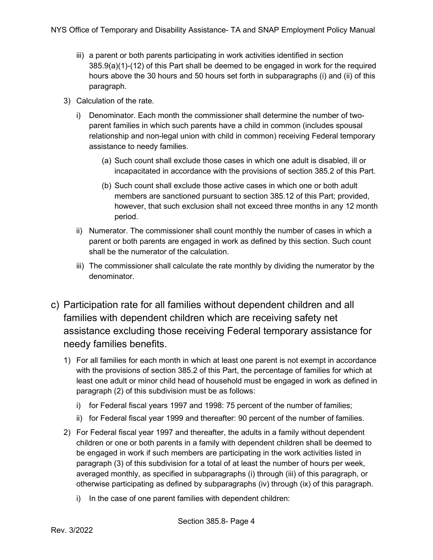- iii) a parent or both parents participating in work activities identified in section 385.9(a)(1)-(12) of this Part shall be deemed to be engaged in work for the required hours above the 30 hours and 50 hours set forth in subparagraphs (i) and (ii) of this paragraph.
- 3) Calculation of the rate.
	- i) Denominator. Each month the commissioner shall determine the number of twoparent families in which such parents have a child in common (includes spousal relationship and non-legal union with child in common) receiving Federal temporary assistance to needy families.
		- (a) Such count shall exclude those cases in which one adult is disabled, ill or incapacitated in accordance with the provisions of section 385.2 of this Part.
		- (b) Such count shall exclude those active cases in which one or both adult members are sanctioned pursuant to section 385.12 of this Part; provided, however, that such exclusion shall not exceed three months in any 12 month period.
	- ii) Numerator. The commissioner shall count monthly the number of cases in which a parent or both parents are engaged in work as defined by this section. Such count shall be the numerator of the calculation.
	- iii) The commissioner shall calculate the rate monthly by dividing the numerator by the denominator.
- <span id="page-3-0"></span>c) Participation rate for all families without dependent children and all families with dependent children which are receiving safety net assistance excluding those receiving Federal temporary assistance for needy families benefits.
	- 1) For all families for each month in which at least one parent is not exempt in accordance with the provisions of section 385.2 of this Part, the percentage of families for which at least one adult or minor child head of household must be engaged in work as defined in paragraph (2) of this subdivision must be as follows:
		- i) for Federal fiscal years 1997 and 1998: 75 percent of the number of families;
		- ii) for Federal fiscal year 1999 and thereafter: 90 percent of the number of families.
	- 2) For Federal fiscal year 1997 and thereafter, the adults in a family without dependent children or one or both parents in a family with dependent children shall be deemed to be engaged in work if such members are participating in the work activities listed in paragraph (3) of this subdivision for a total of at least the number of hours per week, averaged monthly, as specified in subparagraphs (i) through (iii) of this paragraph, or otherwise participating as defined by subparagraphs (iv) through (ix) of this paragraph.
		- i) In the case of one parent families with dependent children: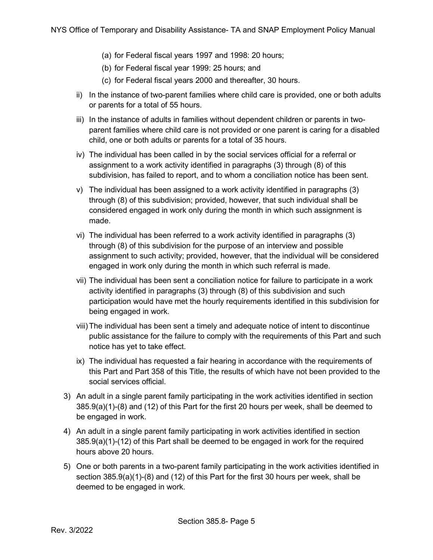- (a) for Federal fiscal years 1997 and 1998: 20 hours;
- (b) for Federal fiscal year 1999: 25 hours; and
- (c) for Federal fiscal years 2000 and thereafter, 30 hours.
- ii) In the instance of two-parent families where child care is provided, one or both adults or parents for a total of 55 hours.
- iii) In the instance of adults in families without dependent children or parents in twoparent families where child care is not provided or one parent is caring for a disabled child, one or both adults or parents for a total of 35 hours.
- iv) The individual has been called in by the social services official for a referral or assignment to a work activity identified in paragraphs (3) through (8) of this subdivision, has failed to report, and to whom a conciliation notice has been sent.
- v) The individual has been assigned to a work activity identified in paragraphs (3) through (8) of this subdivision; provided, however, that such individual shall be considered engaged in work only during the month in which such assignment is made.
- vi) The individual has been referred to a work activity identified in paragraphs (3) through (8) of this subdivision for the purpose of an interview and possible assignment to such activity; provided, however, that the individual will be considered engaged in work only during the month in which such referral is made.
- vii) The individual has been sent a conciliation notice for failure to participate in a work activity identified in paragraphs (3) through (8) of this subdivision and such participation would have met the hourly requirements identified in this subdivision for being engaged in work.
- viii)The individual has been sent a timely and adequate notice of intent to discontinue public assistance for the failure to comply with the requirements of this Part and such notice has yet to take effect.
- ix) The individual has requested a fair hearing in accordance with the requirements of this Part and Part 358 of this Title, the results of which have not been provided to the social services official.
- 3) An adult in a single parent family participating in the work activities identified in section 385.9(a)(1)-(8) and (12) of this Part for the first 20 hours per week, shall be deemed to be engaged in work.
- 4) An adult in a single parent family participating in work activities identified in section 385.9(a)(1)-(12) of this Part shall be deemed to be engaged in work for the required hours above 20 hours.
- 5) One or both parents in a two-parent family participating in the work activities identified in section 385.9(a)(1)-(8) and (12) of this Part for the first 30 hours per week, shall be deemed to be engaged in work.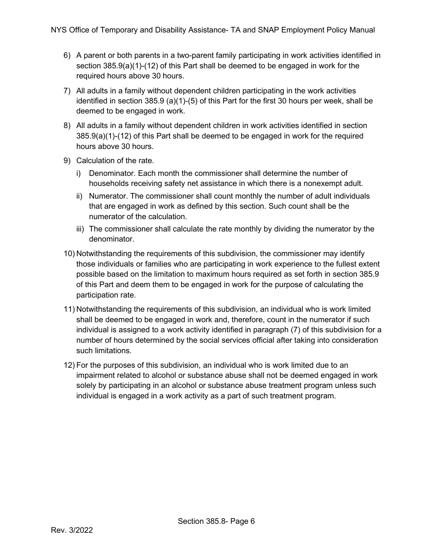- 6) A parent or both parents in a two-parent family participating in work activities identified in section 385.9(a)(1)-(12) of this Part shall be deemed to be engaged in work for the required hours above 30 hours.
- 7) All adults in a family without dependent children participating in the work activities identified in section 385.9 (a)(1)-(5) of this Part for the first 30 hours per week, shall be deemed to be engaged in work.
- 8) All adults in a family without dependent children in work activities identified in section 385.9(a)(1)-(12) of this Part shall be deemed to be engaged in work for the required hours above 30 hours.
- 9) Calculation of the rate.
	- i) Denominator. Each month the commissioner shall determine the number of households receiving safety net assistance in which there is a nonexempt adult.
	- ii) Numerator. The commissioner shall count monthly the number of adult individuals that are engaged in work as defined by this section. Such count shall be the numerator of the calculation.
	- iii) The commissioner shall calculate the rate monthly by dividing the numerator by the denominator.
- 10) Notwithstanding the requirements of this subdivision, the commissioner may identify those individuals or families who are participating in work experience to the fullest extent possible based on the limitation to maximum hours required as set forth in section 385.9 of this Part and deem them to be engaged in work for the purpose of calculating the participation rate.
- 11) Notwithstanding the requirements of this subdivision, an individual who is work limited shall be deemed to be engaged in work and, therefore, count in the numerator if such individual is assigned to a work activity identified in paragraph (7) of this subdivision for a number of hours determined by the social services official after taking into consideration such limitations.
- 12) For the purposes of this subdivision, an individual who is work limited due to an impairment related to alcohol or substance abuse shall not be deemed engaged in work solely by participating in an alcohol or substance abuse treatment program unless such individual is engaged in a work activity as a part of such treatment program.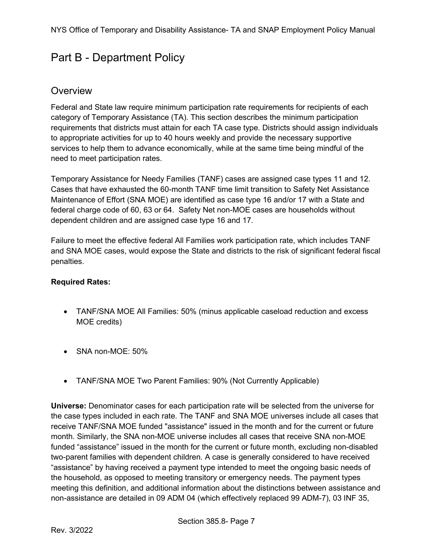## <span id="page-6-0"></span>Part B - Department Policy

#### <span id="page-6-1"></span>**Overview**

Federal and State law require minimum participation rate requirements for recipients of each category of Temporary Assistance (TA). This section describes the minimum participation requirements that districts must attain for each TA case type. Districts should assign individuals to appropriate activities for up to 40 hours weekly and provide the necessary supportive services to help them to advance economically, while at the same time being mindful of the need to meet participation rates.

Temporary Assistance for Needy Families (TANF) cases are assigned case types 11 and 12. Cases that have exhausted the 60-month TANF time limit transition to Safety Net Assistance Maintenance of Effort (SNA MOE) are identified as case type 16 and/or 17 with a State and federal charge code of 60, 63 or 64. Safety Net non-MOE cases are households without dependent children and are assigned case type 16 and 17.

Failure to meet the effective federal All Families work participation rate, which includes TANF and SNA MOE cases, would expose the State and districts to the risk of significant federal fiscal penalties.

#### **Required Rates:**

- TANF/SNA MOE All Families: 50% (minus applicable caseload reduction and excess MOE credits)
- SNA non-MOE: 50%
- TANF/SNA MOE Two Parent Families: 90% (Not Currently Applicable)

**Universe:** Denominator cases for each participation rate will be selected from the universe for the case types included in each rate. The TANF and SNA MOE universes include all cases that receive TANF/SNA MOE funded "assistance" issued in the month and for the current or future month. Similarly, the SNA non-MOE universe includes all cases that receive SNA non-MOE funded "assistance" issued in the month for the current or future month, excluding non-disabled two-parent families with dependent children. A case is generally considered to have received "assistance" by having received a payment type intended to meet the ongoing basic needs of the household, as opposed to meeting transitory or emergency needs. The payment types meeting this definition, and additional information about the distinctions between assistance and non-assistance are detailed in 09 ADM 04 (which effectively replaced 99 ADM-7), 03 INF 35,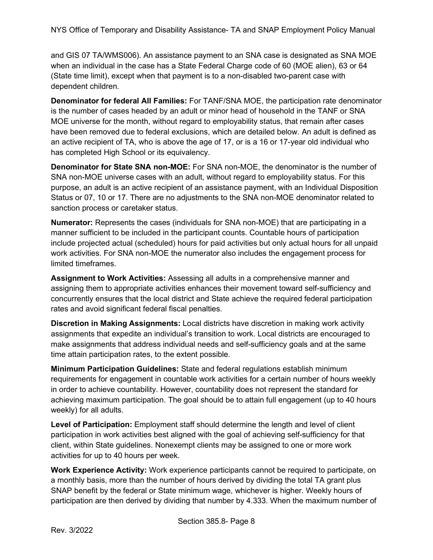and GIS 07 TA/WMS006). An assistance payment to an SNA case is designated as SNA MOE when an individual in the case has a State Federal Charge code of 60 (MOE alien), 63 or 64 (State time limit), except when that payment is to a non-disabled two-parent case with dependent children.

**Denominator for federal All Families:** For TANF/SNA MOE, the participation rate denominator is the number of cases headed by an adult or minor head of household in the TANF or SNA MOE universe for the month, without regard to employability status, that remain after cases have been removed due to federal exclusions, which are detailed below. An adult is defined as an active recipient of TA, who is above the age of 17, or is a 16 or 17-year old individual who has completed High School or its equivalency.

**Denominator for State SNA non-MOE:** For SNA non-MOE, the denominator is the number of SNA non-MOE universe cases with an adult, without regard to employability status. For this purpose, an adult is an active recipient of an assistance payment, with an Individual Disposition Status or 07, 10 or 17. There are no adjustments to the SNA non-MOE denominator related to sanction process or caretaker status.

**Numerator:** Represents the cases (individuals for SNA non-MOE) that are participating in a manner sufficient to be included in the participant counts. Countable hours of participation include projected actual (scheduled) hours for paid activities but only actual hours for all unpaid work activities. For SNA non-MOE the numerator also includes the engagement process for limited timeframes.

**Assignment to Work Activities:** Assessing all adults in a comprehensive manner and assigning them to appropriate activities enhances their movement toward self-sufficiency and concurrently ensures that the local district and State achieve the required federal participation rates and avoid significant federal fiscal penalties.

**Discretion in Making Assignments:** Local districts have discretion in making work activity assignments that expedite an individual's transition to work. Local districts are encouraged to make assignments that address individual needs and self-sufficiency goals and at the same time attain participation rates, to the extent possible.

**Minimum Participation Guidelines:** State and federal regulations establish minimum requirements for engagement in countable work activities for a certain number of hours weekly in order to achieve countability. However, countability does not represent the standard for achieving maximum participation. The goal should be to attain full engagement (up to 40 hours weekly) for all adults.

**Level of Participation:** Employment staff should determine the length and level of client participation in work activities best aligned with the goal of achieving self-sufficiency for that client, within State guidelines. Nonexempt clients may be assigned to one or more work activities for up to 40 hours per week.

**Work Experience Activity:** Work experience participants cannot be required to participate, on a monthly basis, more than the number of hours derived by dividing the total TA grant plus SNAP benefit by the federal or State minimum wage, whichever is higher. Weekly hours of participation are then derived by dividing that number by 4.333. When the maximum number of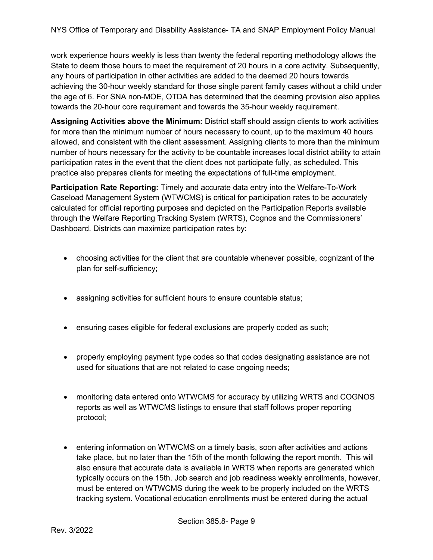work experience hours weekly is less than twenty the federal reporting methodology allows the State to deem those hours to meet the requirement of 20 hours in a core activity. Subsequently, any hours of participation in other activities are added to the deemed 20 hours towards achieving the 30-hour weekly standard for those single parent family cases without a child under the age of 6. For SNA non-MOE, OTDA has determined that the deeming provision also applies towards the 20-hour core requirement and towards the 35-hour weekly requirement.

**Assigning Activities above the Minimum:** District staff should assign clients to work activities for more than the minimum number of hours necessary to count, up to the maximum 40 hours allowed, and consistent with the client assessment. Assigning clients to more than the minimum number of hours necessary for the activity to be countable increases local district ability to attain participation rates in the event that the client does not participate fully, as scheduled. This practice also prepares clients for meeting the expectations of full-time employment.

**Participation Rate Reporting:** Timely and accurate data entry into the Welfare-To-Work Caseload Management System (WTWCMS) is critical for participation rates to be accurately calculated for official reporting purposes and depicted on the Participation Reports available through the Welfare Reporting Tracking System (WRTS), Cognos and the Commissioners' Dashboard. Districts can maximize participation rates by:

- choosing activities for the client that are countable whenever possible, cognizant of the plan for self-sufficiency;
- assigning activities for sufficient hours to ensure countable status;
- ensuring cases eligible for federal exclusions are properly coded as such;
- properly employing payment type codes so that codes designating assistance are not used for situations that are not related to case ongoing needs;
- monitoring data entered onto WTWCMS for accuracy by utilizing WRTS and COGNOS reports as well as WTWCMS listings to ensure that staff follows proper reporting protocol;
- entering information on WTWCMS on a timely basis, soon after activities and actions take place, but no later than the 15th of the month following the report month. This will also ensure that accurate data is available in WRTS when reports are generated which typically occurs on the 15th. Job search and job readiness weekly enrollments, however, must be entered on WTWCMS during the week to be properly included on the WRTS tracking system. Vocational education enrollments must be entered during the actual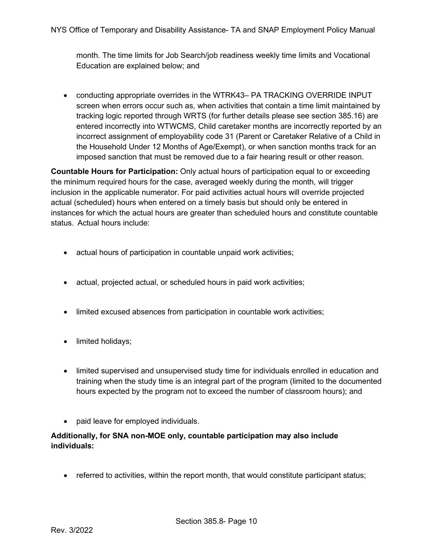NYS Office of Temporary and Disability Assistance- TA and SNAP Employment Policy Manual

month. The time limits for Job Search/job readiness weekly time limits and Vocational Education are explained below; and

• conducting appropriate overrides in the WTRK43– PA TRACKING OVERRIDE INPUT screen when errors occur such as, when activities that contain a time limit maintained by tracking logic reported through WRTS (for further details please see section 385.16) are entered incorrectly into WTWCMS, Child caretaker months are incorrectly reported by an incorrect assignment of employability code 31 (Parent or Caretaker Relative of a Child in the Household Under 12 Months of Age/Exempt), or when sanction months track for an imposed sanction that must be removed due to a fair hearing result or other reason.

**Countable Hours for Participation:** Only actual hours of participation equal to or exceeding the minimum required hours for the case, averaged weekly during the month, will trigger inclusion in the applicable numerator. For paid activities actual hours will override projected actual (scheduled) hours when entered on a timely basis but should only be entered in instances for which the actual hours are greater than scheduled hours and constitute countable status. Actual hours include:

- actual hours of participation in countable unpaid work activities;
- actual, projected actual, or scheduled hours in paid work activities;
- limited excused absences from participation in countable work activities;
- limited holidays;
- limited supervised and unsupervised study time for individuals enrolled in education and training when the study time is an integral part of the program (limited to the documented hours expected by the program not to exceed the number of classroom hours); and
- paid leave for employed individuals.

#### **Additionally, for SNA non-MOE only, countable participation may also include individuals:**

• referred to activities, within the report month, that would constitute participant status;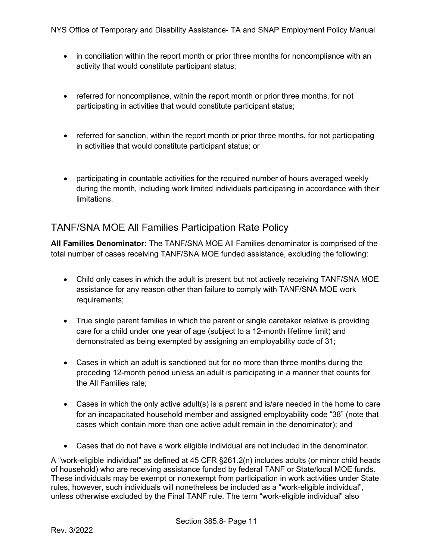- in conciliation within the report month or prior three months for noncompliance with an activity that would constitute participant status;
- referred for noncompliance, within the report month or prior three months, for not participating in activities that would constitute participant status;
- referred for sanction, within the report month or prior three months, for not participating in activities that would constitute participant status; or
- participating in countable activities for the required number of hours averaged weekly during the month, including work limited individuals participating in accordance with their limitations.

#### <span id="page-10-0"></span>TANF/SNA MOE All Families Participation Rate Policy

**All Families Denominator:** The TANF/SNA MOE All Families denominator is comprised of the total number of cases receiving TANF/SNA MOE funded assistance, excluding the following:

- Child only cases in which the adult is present but not actively receiving TANF/SNA MOE assistance for any reason other than failure to comply with TANF/SNA MOE work requirements;
- True single parent families in which the parent or single caretaker relative is providing care for a child under one year of age (subject to a 12-month lifetime limit) and demonstrated as being exempted by assigning an employability code of 31;
- Cases in which an adult is sanctioned but for no more than three months during the preceding 12-month period unless an adult is participating in a manner that counts for the All Families rate;
- Cases in which the only active adult(s) is a parent and is/are needed in the home to care for an incapacitated household member and assigned employability code "38" (note that cases which contain more than one active adult remain in the denominator); and
- Cases that do not have a work eligible individual are not included in the denominator.

A "work-eligible individual" as defined at 45 CFR §261.2(n) includes adults (or minor child heads of household) who are receiving assistance funded by federal TANF or State/local MOE funds. These individuals may be exempt or nonexempt from participation in work activities under State rules, however, such individuals will nonetheless be included as a "work-eligible individual", unless otherwise excluded by the Final TANF rule. The term "work-eligible individual" also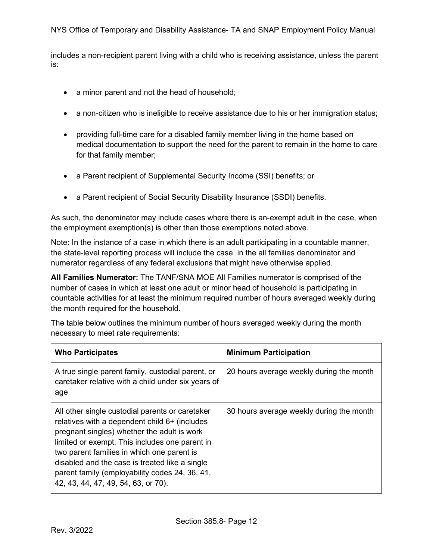includes a non-recipient parent living with a child who is receiving assistance, unless the parent is:

- a minor parent and not the head of household;
- a non-citizen who is ineligible to receive assistance due to his or her immigration status;
- providing full-time care for a disabled family member living in the home based on medical documentation to support the need for the parent to remain in the home to care for that family member;
- a Parent recipient of Supplemental Security Income (SSI) benefits; or
- a Parent recipient of Social Security Disability Insurance (SSDI) benefits.

As such, the denominator may include cases where there is an-exempt adult in the case, when the employment exemption(s) is other than those exemptions noted above.

Note: In the instance of a case in which there is an adult participating in a countable manner, the state-level reporting process will include the case in the all families denominator and numerator regardless of any federal exclusions that might have otherwise applied.

**All Families Numerator:** The TANF/SNA MOE All Families numerator is comprised of the number of cases in which at least one adult or minor head of household is participating in countable activities for at least the minimum required number of hours averaged weekly during the month required for the household.

The table below outlines the minimum number of hours averaged weekly during the month necessary to meet rate requirements:

| <b>Who Participates</b>                                                                                                                                                                                                                                                                                                                                                                    | <b>Minimum Participation</b>             |
|--------------------------------------------------------------------------------------------------------------------------------------------------------------------------------------------------------------------------------------------------------------------------------------------------------------------------------------------------------------------------------------------|------------------------------------------|
| A true single parent family, custodial parent, or<br>caretaker relative with a child under six years of<br>age                                                                                                                                                                                                                                                                             | 20 hours average weekly during the month |
| All other single custodial parents or caretaker<br>relatives with a dependent child 6+ (includes<br>pregnant singles) whether the adult is work<br>limited or exempt. This includes one parent in<br>two parent families in which one parent is<br>disabled and the case is treated like a single<br>parent family (employability codes 24, 36, 41,<br>42, 43, 44, 47, 49, 54, 63, or 70). | 30 hours average weekly during the month |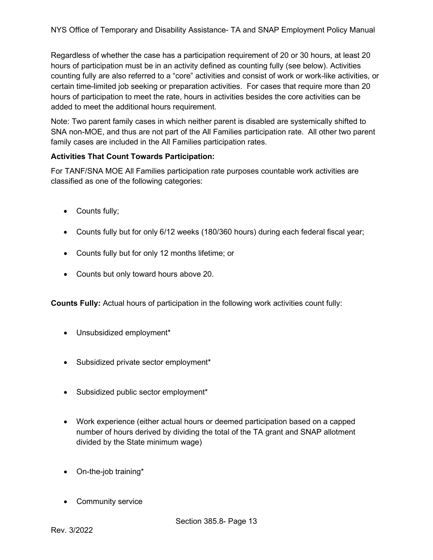Regardless of whether the case has a participation requirement of 20 or 30 hours, at least 20 hours of participation must be in an activity defined as counting fully (see below). Activities counting fully are also referred to a "core" activities and consist of work or work-like activities, or certain time-limited job seeking or preparation activities. For cases that require more than 20 hours of participation to meet the rate, hours in activities besides the core activities can be added to meet the additional hours requirement.

Note: Two parent family cases in which neither parent is disabled are systemically shifted to SNA non-MOE, and thus are not part of the All Families participation rate. All other two parent family cases are included in the All Families participation rates.

#### **Activities That Count Towards Participation:**

For TANF/SNA MOE All Families participation rate purposes countable work activities are classified as one of the following categories:

- Counts fully;
- Counts fully but for only 6/12 weeks (180/360 hours) during each federal fiscal year;
- Counts fully but for only 12 months lifetime; or
- Counts but only toward hours above 20.

**Counts Fully:** Actual hours of participation in the following work activities count fully:

- Unsubsidized employment\*
- Subsidized private sector employment\*
- Subsidized public sector employment\*
- Work experience (either actual hours or deemed participation based on a capped number of hours derived by dividing the total of the TA grant and SNAP allotment divided by the State minimum wage)
- On-the-job training\*
- Community service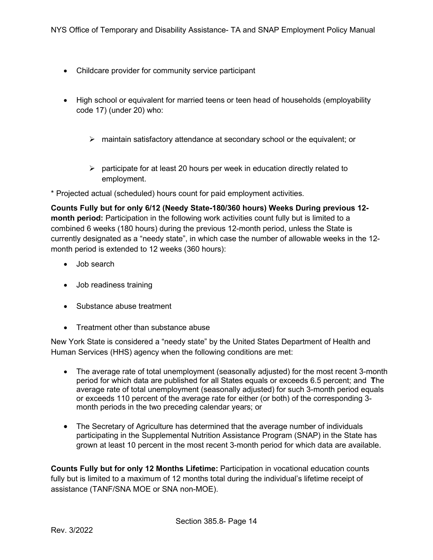- Childcare provider for community service participant
- High school or equivalent for married teens or teen head of households (employability code 17) (under 20) who:
	- $\triangleright$  maintain satisfactory attendance at secondary school or the equivalent; or
	- $\triangleright$  participate for at least 20 hours per week in education directly related to employment.

\* Projected actual (scheduled) hours count for paid employment activities.

**Counts Fully but for only 6/12 (Needy State-180/360 hours) Weeks During previous 12 month period:** Participation in the following work activities count fully but is limited to a combined 6 weeks (180 hours) during the previous 12-month period, unless the State is currently designated as a "needy state", in which case the number of allowable weeks in the 12 month period is extended to 12 weeks (360 hours):

- Job search
- Job readiness training
- Substance abuse treatment
- Treatment other than substance abuse

New York State is considered a "needy state" by the United States Department of Health and Human Services (HHS) agency when the following conditions are met:

- The average rate of total unemployment (seasonally adjusted) for the most recent 3-month period for which data are published for all [States](https://www.law.cornell.edu/definitions/index.php?width=840&height=800&iframe=true&def_id=31396b0c5001b7e128a5ec86323b39af&term_occur=999&term_src=Title:45:Subtitle:B:Chapter:II:Part:260:Subpart:A:260.30) equals or exceeds 6.5 percent; and **T**he average rate of total unemployment (seasonally adjusted) for such 3-month period equals or exceeds 110 percent of the average rate for either (or both) of the corresponding 3 month periods in the two preceding calendar years; or
- The [Secretary](https://www.law.cornell.edu/definitions/index.php?width=840&height=800&iframe=true&def_id=82167767a916c12f5b86957039e456a7&term_occur=999&term_src=Title:45:Subtitle:B:Chapter:II:Part:260:Subpart:A:260.30) of Agriculture has determined that the average number of individuals participating in the Supplemental Nutrition Assistance Program (SNAP) in the [State](https://www.law.cornell.edu/definitions/index.php?width=840&height=800&iframe=true&def_id=31396b0c5001b7e128a5ec86323b39af&term_occur=999&term_src=Title:45:Subtitle:B:Chapter:II:Part:260:Subpart:A:260.30) has grown at least 10 percent in the most recent 3-month period for which data are available.

**Counts Fully but for only 12 Months Lifetime:** Participation in vocational education counts fully but is limited to a maximum of 12 months total during the individual's lifetime receipt of assistance (TANF/SNA MOE or SNA non-MOE).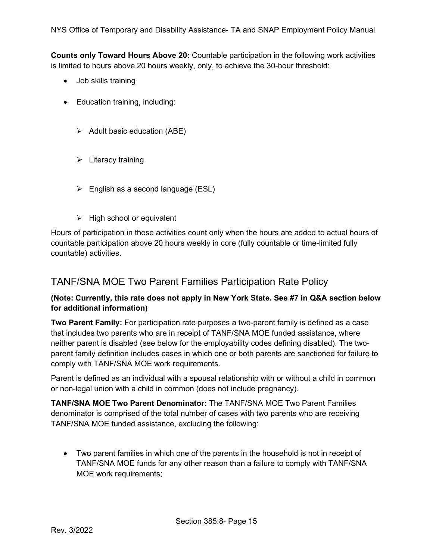**Counts only Toward Hours Above 20:** Countable participation in the following work activities is limited to hours above 20 hours weekly, only, to achieve the 30-hour threshold:

- Job skills training
- Education training, including:
	- $\triangleright$  Adult basic education (ABE)
	- $\triangleright$  Literacy training
	- $\triangleright$  English as a second language (ESL)
	- $\triangleright$  High school or equivalent

Hours of participation in these activities count only when the hours are added to actual hours of countable participation above 20 hours weekly in core (fully countable or time-limited fully countable) activities.

#### <span id="page-14-0"></span>TANF/SNA MOE Two Parent Families Participation Rate Policy

#### **(Note: Currently, this rate does not apply in New York State. See #7 in Q&A section below for additional information)**

**Two Parent Family:** For participation rate purposes a two-parent family is defined as a case that includes two parents who are in receipt of TANF/SNA MOE funded assistance, where neither parent is disabled (see below for the employability codes defining disabled). The twoparent family definition includes cases in which one or both parents are sanctioned for failure to comply with TANF/SNA MOE work requirements.

Parent is defined as an individual with a spousal relationship with or without a child in common or non-legal union with a child in common (does not include pregnancy).

**TANF/SNA MOE Two Parent Denominator:** The TANF/SNA MOE Two Parent Families denominator is comprised of the total number of cases with two parents who are receiving TANF/SNA MOE funded assistance, excluding the following:

• Two parent families in which one of the parents in the household is not in receipt of TANF/SNA MOE funds for any other reason than a failure to comply with TANF/SNA MOE work requirements;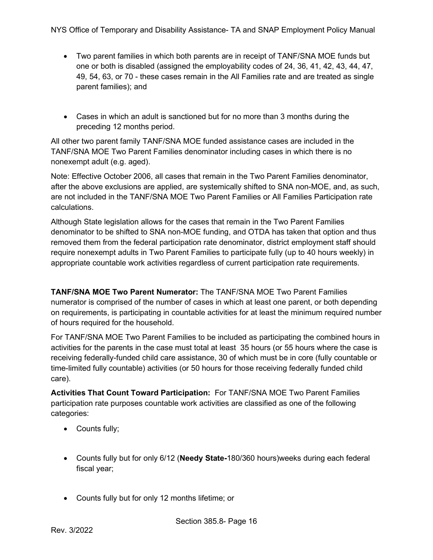- Two parent families in which both parents are in receipt of TANF/SNA MOE funds but one or both is disabled (assigned the employability codes of 24, 36, 41, 42, 43, 44, 47, 49, 54, 63, or 70 - these cases remain in the All Families rate and are treated as single parent families); and
- Cases in which an adult is sanctioned but for no more than 3 months during the preceding 12 months period.

All other two parent family TANF/SNA MOE funded assistance cases are included in the TANF/SNA MOE Two Parent Families denominator including cases in which there is no nonexempt adult (e.g. aged).

Note: Effective October 2006, all cases that remain in the Two Parent Families denominator, after the above exclusions are applied, are systemically shifted to SNA non-MOE, and, as such, are not included in the TANF/SNA MOE Two Parent Families or All Families Participation rate calculations.

Although State legislation allows for the cases that remain in the Two Parent Families denominator to be shifted to SNA non-MOE funding, and OTDA has taken that option and thus removed them from the federal participation rate denominator, district employment staff should require nonexempt adults in Two Parent Families to participate fully (up to 40 hours weekly) in appropriate countable work activities regardless of current participation rate requirements.

**TANF/SNA MOE Two Parent Numerator:** The TANF/SNA MOE Two Parent Families numerator is comprised of the number of cases in which at least one parent, or both depending on requirements, is participating in countable activities for at least the minimum required number of hours required for the household.

For TANF/SNA MOE Two Parent Families to be included as participating the combined hours in activities for the parents in the case must total at least 35 hours (or 55 hours where the case is receiving federally-funded child care assistance, 30 of which must be in core (fully countable or time-limited fully countable) activities (or 50 hours for those receiving federally funded child care).

**Activities That Count Toward Participation:** For TANF/SNA MOE Two Parent Families participation rate purposes countable work activities are classified as one of the following categories:

- Counts fully;
- Counts fully but for only 6/12 (**Needy State-**180/360 hours)weeks during each federal fiscal year;
- Counts fully but for only 12 months lifetime; or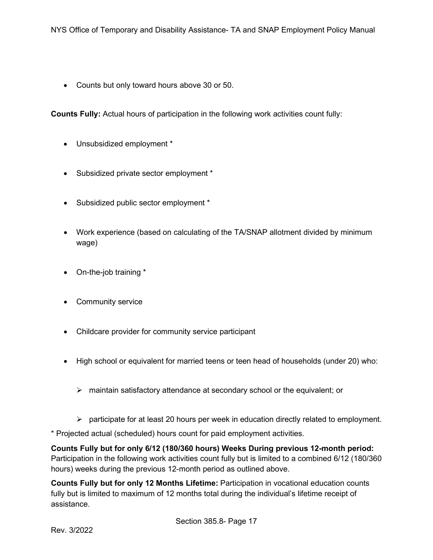• Counts but only toward hours above 30 or 50.

**Counts Fully:** Actual hours of participation in the following work activities count fully:

- Unsubsidized employment \*
- Subsidized private sector employment \*
- Subsidized public sector employment \*
- Work experience (based on calculating of the TA/SNAP allotment divided by minimum wage)
- On-the-job training \*
- Community service
- Childcare provider for community service participant
- High school or equivalent for married teens or teen head of households (under 20) who:
	- $\triangleright$  maintain satisfactory attendance at secondary school or the equivalent; or
	- $\triangleright$  participate for at least 20 hours per week in education directly related to employment.
- \* Projected actual (scheduled) hours count for paid employment activities.

**Counts Fully but for only 6/12 (180/360 hours) Weeks During previous 12-month period:**  Participation in the following work activities count fully but is limited to a combined 6/12 (180/360 hours) weeks during the previous 12-month period as outlined above.

**Counts Fully but for only 12 Months Lifetime:** Participation in vocational education counts fully but is limited to maximum of 12 months total during the individual's lifetime receipt of assistance.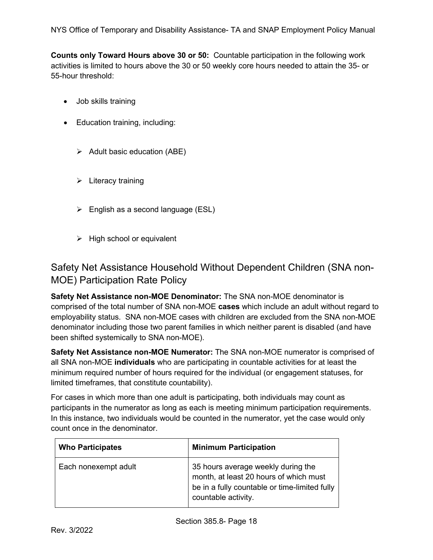NYS Office of Temporary and Disability Assistance- TA and SNAP Employment Policy Manual

**Counts only Toward Hours above 30 or 50:** Countable participation in the following work activities is limited to hours above the 30 or 50 weekly core hours needed to attain the 35- or 55-hour threshold:

- Job skills training
- Education training, including:
	- $\triangleright$  Adult basic education (ABE)
	- $\triangleright$  Literacy training
	- $\triangleright$  English as a second language (ESL)
	- $\triangleright$  High school or equivalent

<span id="page-17-0"></span>Safety Net Assistance Household Without Dependent Children (SNA non-MOE) Participation Rate Policy

**Safety Net Assistance non-MOE Denominator:** The SNA non-MOE denominator is comprised of the total number of SNA non-MOE **cases** which include an adult without regard to employability status. SNA non-MOE cases with children are excluded from the SNA non-MOE denominator including those two parent families in which neither parent is disabled (and have been shifted systemically to SNA non-MOE).

**Safety Net Assistance non-MOE Numerator:** The SNA non-MOE numerator is comprised of all SNA non-MOE **individuals** who are participating in countable activities for at least the minimum required number of hours required for the individual (or engagement statuses, for limited timeframes, that constitute countability).

For cases in which more than one adult is participating, both individuals may count as participants in the numerator as long as each is meeting minimum participation requirements. In this instance, two individuals would be counted in the numerator, yet the case would only count once in the denominator.

| <b>Who Participates</b> | <b>Minimum Participation</b>                                                                                                                         |
|-------------------------|------------------------------------------------------------------------------------------------------------------------------------------------------|
| Each nonexempt adult    | 35 hours average weekly during the<br>month, at least 20 hours of which must<br>be in a fully countable or time-limited fully<br>countable activity. |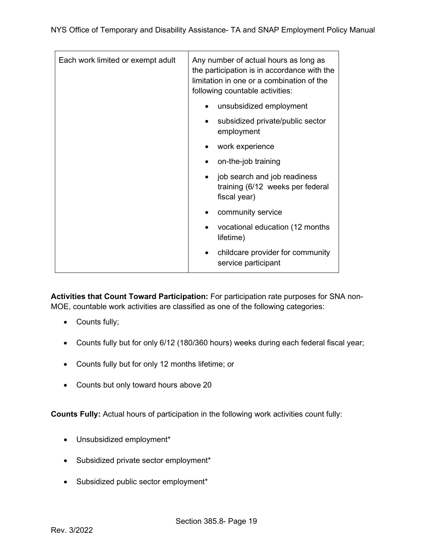| Each work limited or exempt adult | Any number of actual hours as long as<br>the participation is in accordance with the<br>limitation in one or a combination of the<br>following countable activities: |
|-----------------------------------|----------------------------------------------------------------------------------------------------------------------------------------------------------------------|
|                                   | unsubsidized employment                                                                                                                                              |
|                                   | subsidized private/public sector<br>employment                                                                                                                       |
|                                   | work experience                                                                                                                                                      |
|                                   | on-the-job training                                                                                                                                                  |
|                                   | job search and job readiness<br>$\bullet$<br>training (6/12 weeks per federal<br>fiscal year)                                                                        |
|                                   | community service                                                                                                                                                    |
|                                   | vocational education (12 months)<br>lifetime)                                                                                                                        |
|                                   | childcare provider for community<br>service participant                                                                                                              |

**Activities that Count Toward Participation:** For participation rate purposes for SNA non-MOE, countable work activities are classified as one of the following categories:

- Counts fully;
- Counts fully but for only 6/12 (180/360 hours) weeks during each federal fiscal year;
- Counts fully but for only 12 months lifetime; or
- Counts but only toward hours above 20

**Counts Fully:** Actual hours of participation in the following work activities count fully:

- Unsubsidized employment\*
- Subsidized private sector employment\*
- Subsidized public sector employment\*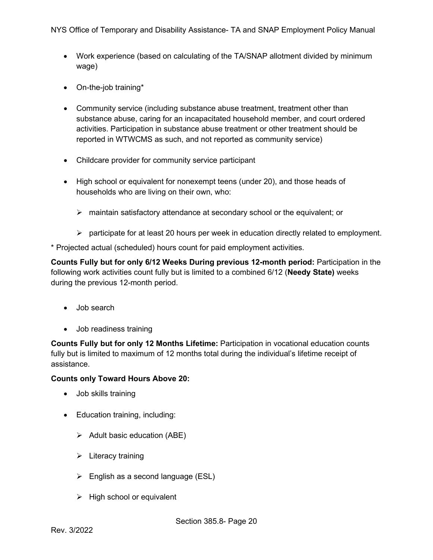- Work experience (based on calculating of the TA/SNAP allotment divided by minimum wage)
- On-the-job training\*
- Community service (including substance abuse treatment, treatment other than substance abuse, caring for an incapacitated household member, and court ordered activities. Participation in substance abuse treatment or other treatment should be reported in WTWCMS as such, and not reported as community service)
- Childcare provider for community service participant
- High school or equivalent for nonexempt teens (under 20), and those heads of households who are living on their own, who:
	- $\triangleright$  maintain satisfactory attendance at secondary school or the equivalent; or
	- $\triangleright$  participate for at least 20 hours per week in education directly related to employment.

\* Projected actual (scheduled) hours count for paid employment activities.

**Counts Fully but for only 6/12 Weeks During previous 12-month period:** Participation in the following work activities count fully but is limited to a combined 6/12 (**Needy State)** weeks during the previous 12-month period.

- Job search
- Job readiness training

**Counts Fully but for only 12 Months Lifetime:** Participation in vocational education counts fully but is limited to maximum of 12 months total during the individual's lifetime receipt of assistance.

#### **Counts only Toward Hours Above 20:**

- Job skills training
- Education training, including:
	- $\triangleright$  Adult basic education (ABE)
	- $\triangleright$  Literacy training
	- $\triangleright$  English as a second language (ESL)
	- $\triangleright$  High school or equivalent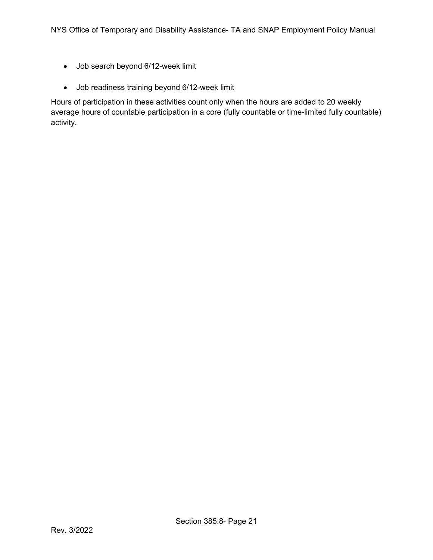- Job search beyond 6/12-week limit
- Job readiness training beyond 6/12-week limit

Hours of participation in these activities count only when the hours are added to 20 weekly average hours of countable participation in a core (fully countable or time-limited fully countable) activity.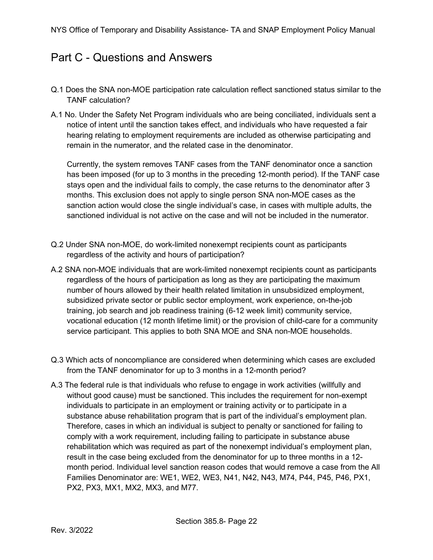## <span id="page-21-0"></span>Part C - Questions and Answers

- Q.1 Does the SNA non-MOE participation rate calculation reflect sanctioned status similar to the TANF calculation?
- A.1 No. Under the Safety Net Program individuals who are being conciliated, individuals sent a notice of intent until the sanction takes effect, and individuals who have requested a fair hearing relating to employment requirements are included as otherwise participating and remain in the numerator, and the related case in the denominator.

Currently, the system removes TANF cases from the TANF denominator once a sanction has been imposed (for up to 3 months in the preceding 12-month period). If the TANF case stays open and the individual fails to comply, the case returns to the denominator after 3 months. This exclusion does not apply to single person SNA non-MOE cases as the sanction action would close the single individual's case, in cases with multiple adults, the sanctioned individual is not active on the case and will not be included in the numerator.

- Q.2 Under SNA non-MOE, do work-limited nonexempt recipients count as participants regardless of the activity and hours of participation?
- A.2 SNA non-MOE individuals that are work-limited nonexempt recipients count as participants regardless of the hours of participation as long as they are participating the maximum number of hours allowed by their health related limitation in unsubsidized employment, subsidized private sector or public sector employment, work experience, on-the-job training, job search and job readiness training (6-12 week limit) community service, vocational education (12 month lifetime limit) or the provision of child-care for a community service participant. This applies to both SNA MOE and SNA non-MOE households.
- Q.3 Which acts of noncompliance are considered when determining which cases are excluded from the TANF denominator for up to 3 months in a 12-month period?
- A.3 The federal rule is that individuals who refuse to engage in work activities (willfully and without good cause) must be sanctioned. This includes the requirement for non-exempt individuals to participate in an employment or training activity or to participate in a substance abuse rehabilitation program that is part of the individual's employment plan. Therefore, cases in which an individual is subject to penalty or sanctioned for failing to comply with a work requirement, including failing to participate in substance abuse rehabilitation which was required as part of the nonexempt individual's employment plan, result in the case being excluded from the denominator for up to three months in a 12 month period. Individual level sanction reason codes that would remove a case from the All Families Denominator are: WE1, WE2, WE3, N41, N42, N43, M74, P44, P45, P46, PX1, PX2, PX3, MX1, MX2, MX3, and M77.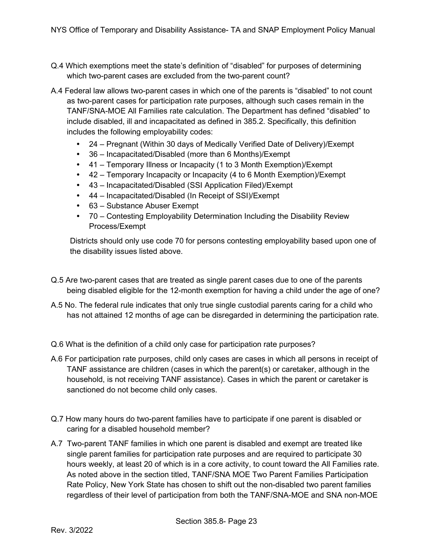- Q.4 Which exemptions meet the state's definition of "disabled" for purposes of determining which two-parent cases are excluded from the two-parent count?
- A.4 Federal law allows two-parent cases in which one of the parents is "disabled" to not count as two-parent cases for participation rate purposes, although such cases remain in the TANF/SNA-MOE All Families rate calculation. The Department has defined "disabled" to include disabled, ill and incapacitated as defined in 385.2. Specifically, this definition includes the following employability codes:
	- 24 Pregnant (Within 30 days of Medically Verified Date of Delivery)/Exempt
	- 36 Incapacitated/Disabled (more than 6 Months)/Exempt
	- 41 Temporary Illness or Incapacity (1 to 3 Month Exemption)/Exempt
	- 42 Temporary Incapacity or Incapacity (4 to 6 Month Exemption)/Exempt
	- 43 Incapacitated/Disabled (SSI Application Filed)/Exempt
	- 44 Incapacitated/Disabled (In Receipt of SSI)/Exempt
	- 63 Substance Abuser Exempt
	- 70 Contesting Employability Determination Including the Disability Review Process/Exempt

Districts should only use code 70 for persons contesting employability based upon one of the disability issues listed above.

- Q.5 Are two-parent cases that are treated as single parent cases due to one of the parents being disabled eligible for the 12-month exemption for having a child under the age of one?
- A.5 No. The federal rule indicates that only true single custodial parents caring for a child who has not attained 12 months of age can be disregarded in determining the participation rate.
- Q.6 What is the definition of a child only case for participation rate purposes?
- A.6 For participation rate purposes, child only cases are cases in which all persons in receipt of TANF assistance are children (cases in which the parent(s) or caretaker, although in the household, is not receiving TANF assistance). Cases in which the parent or caretaker is sanctioned do not become child only cases.
- Q.7 How many hours do two-parent families have to participate if one parent is disabled or caring for a disabled household member?
- A.7 Two-parent TANF families in which one parent is disabled and exempt are treated like single parent families for participation rate purposes and are required to participate 30 hours weekly, at least 20 of which is in a core activity, to count toward the All Families rate. As noted above in the section titled, TANF/SNA MOE Two Parent Families Participation Rate Policy, New York State has chosen to shift out the non-disabled two parent families regardless of their level of participation from both the TANF/SNA-MOE and SNA non-MOE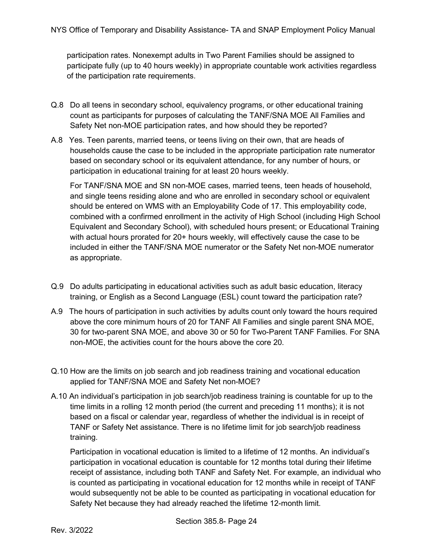participation rates. Nonexempt adults in Two Parent Families should be assigned to participate fully (up to 40 hours weekly) in appropriate countable work activities regardless of the participation rate requirements.

- Q.8 Do all teens in secondary school, equivalency programs, or other educational training count as participants for purposes of calculating the TANF/SNA MOE All Families and Safety Net non-MOE participation rates, and how should they be reported?
- A.8 Yes. Teen parents, married teens, or teens living on their own, that are heads of households cause the case to be included in the appropriate participation rate numerator based on secondary school or its equivalent attendance, for any number of hours, or participation in educational training for at least 20 hours weekly.

For TANF/SNA MOE and SN non-MOE cases, married teens, teen heads of household, and single teens residing alone and who are enrolled in secondary school or equivalent should be entered on WMS with an Employability Code of 17. This employability code, combined with a confirmed enrollment in the activity of High School (including High School Equivalent and Secondary School), with scheduled hours present; or Educational Training with actual hours prorated for 20+ hours weekly, will effectively cause the case to be included in either the TANF/SNA MOE numerator or the Safety Net non-MOE numerator as appropriate.

- Q.9 Do adults participating in educational activities such as adult basic education, literacy training, or English as a Second Language (ESL) count toward the participation rate?
- A.9 The hours of participation in such activities by adults count only toward the hours required above the core minimum hours of 20 for TANF All Families and single parent SNA MOE, 30 for two-parent SNA MOE, and above 30 or 50 for Two-Parent TANF Families. For SNA non-MOE, the activities count for the hours above the core 20.
- Q.10 How are the limits on job search and job readiness training and vocational education applied for TANF/SNA MOE and Safety Net non-MOE?
- A.10 An individual's participation in job search/job readiness training is countable for up to the time limits in a rolling 12 month period (the current and preceding 11 months); it is not based on a fiscal or calendar year, regardless of whether the individual is in receipt of TANF or Safety Net assistance. There is no lifetime limit for job search/job readiness training.

Participation in vocational education is limited to a lifetime of 12 months. An individual's participation in vocational education is countable for 12 months total during their lifetime receipt of assistance, including both TANF and Safety Net. For example, an individual who is counted as participating in vocational education for 12 months while in receipt of TANF would subsequently not be able to be counted as participating in vocational education for Safety Net because they had already reached the lifetime 12-month limit.